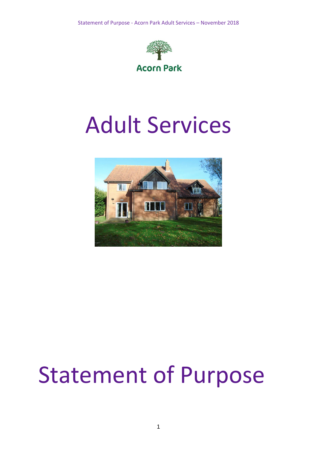

# Adult Services



# Statement of Purpose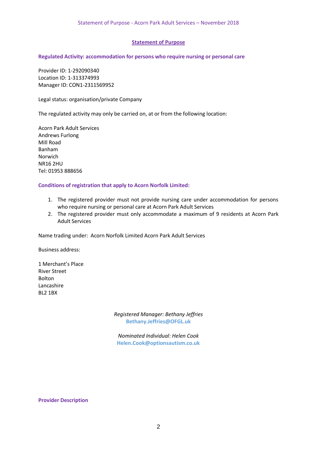### **Statement of Purpose**

#### **Regulated Activity: accommodation for persons who require nursing or personal care**

Provider ID: 1-292090340 Location ID: 1-313374993 Manager ID: CON1-2311569952

Legal status: organisation/private Company

The regulated activity may only be carried on, at or from the following location:

Acorn Park Adult Services Andrews Furlong Mill Road Banham Norwich NR16 2HU Tel: 01953 888656

#### **Conditions of registration that apply to Acorn Norfolk Limited:**

- 1. The registered provider must not provide nursing care under accommodation for persons who require nursing or personal care at Acorn Park Adult Services
- 2. The registered provider must only accommodate a maximum of 9 residents at Acorn Park Adult Services

Name trading under: Acorn Norfolk Limited Acorn Park Adult Services

Business address:

1 Merchant's Place River Street Bolton Lancashire BL2 1BX

> *Registered Manager: Bethany Jeffries* **Bethany.Jeffries@OFGL.uk**

*Nominated Individual: Helen Cook* **Helen.Cook@optionsautism.co.uk**

#### **Provider Description**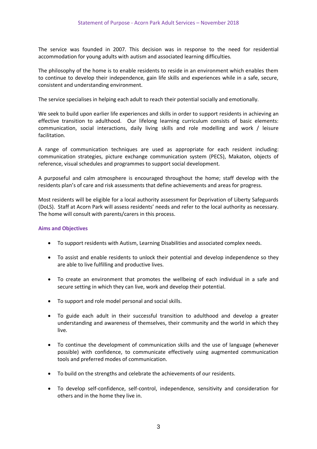The service was founded in 2007. This decision was in response to the need for residential accommodation for young adults with autism and associated learning difficulties.

The philosophy of the home is to enable residents to reside in an environment which enables them to continue to develop their independence, gain life skills and experiences while in a safe, secure, consistent and understanding environment.

The service specialises in helping each adult to reach their potential socially and emotionally.

We seek to build upon earlier life experiences and skills in order to support residents in achieving an effective transition to adulthood. Our lifelong learning curriculum consists of basic elements: communication, social interactions, daily living skills and role modelling and work / leisure facilitation.

A range of communication techniques are used as appropriate for each resident including: communication strategies, picture exchange communication system (PECS), Makaton, objects of reference, visual schedules and programmes to support social development.

A purposeful and calm atmosphere is encouraged throughout the home; staff develop with the residents plan's of care and risk assessments that define achievements and areas for progress.

Most residents will be eligible for a local authority assessment for Deprivation of Liberty Safeguards (DoLS). Staff at Acorn Park will assess residents' needs and refer to the local authority as necessary. The home will consult with parents/carers in this process.

## **Aims and Objectives**

- To support residents with Autism, Learning Disabilities and associated complex needs.
- To assist and enable residents to unlock their potential and develop independence so they are able to live fulfilling and productive lives.
- To create an environment that promotes the wellbeing of each individual in a safe and secure setting in which they can live, work and develop their potential.
- To support and role model personal and social skills.
- To guide each adult in their successful transition to adulthood and develop a greater understanding and awareness of themselves, their community and the world in which they live.
- To continue the development of communication skills and the use of language (whenever possible) with confidence, to communicate effectively using augmented communication tools and preferred modes of communication.
- To build on the strengths and celebrate the achievements of our residents.
- To develop self-confidence, self-control, independence, sensitivity and consideration for others and in the home they live in.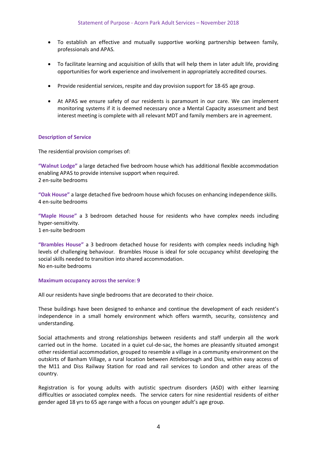- To establish an effective and mutually supportive working partnership between family, professionals and APAS.
- To facilitate learning and acquisition of skills that will help them in later adult life, providing opportunities for work experience and involvement in appropriately accredited courses.
- Provide residential services, respite and day provision support for 18-65 age group.
- At APAS we ensure safety of our residents is paramount in our care. We can implement monitoring systems if it is deemed necessary once a Mental Capacity assessment and best interest meeting is complete with all relevant MDT and family members are in agreement.

### **Description of Service**

The residential provision comprises of:

**"Walnut Lodge"** a large detached five bedroom house which has additional flexible accommodation enabling APAS to provide intensive support when required. 2 en-suite bedrooms

**"Oak House"** a large detached five bedroom house which focuses on enhancing independence skills. 4 en-suite bedrooms

**"Maple House"** a 3 bedroom detached house for residents who have complex needs including hyper-sensitivity. 1 en-suite bedroom

**"Brambles House"** a 3 bedroom detached house for residents with complex needs including high levels of challenging behaviour. Brambles House is ideal for sole occupancy whilst developing the social skills needed to transition into shared accommodation. No en-suite bedrooms

#### **Maximum occupancy across the service: 9**

All our residents have single bedrooms that are decorated to their choice.

These buildings have been designed to enhance and continue the development of each resident's independence in a small homely environment which offers warmth, security, consistency and understanding.

Social attachments and strong relationships between residents and staff underpin all the work carried out in the home. Located in a quiet cul-de-sac, the homes are pleasantly situated amongst other residential accommodation, grouped to resemble a village in a community environment on the outskirts of Banham Village, a rural location between Attleborough and Diss, within easy access of the M11 and Diss Railway Station for road and rail services to London and other areas of the country.

Registration is for young adults with autistic spectrum disorders (ASD) with either learning difficulties or associated complex needs. The service caters for nine residential residents of either gender aged 18 yrs to 65 age range with a focus on younger adult's age group.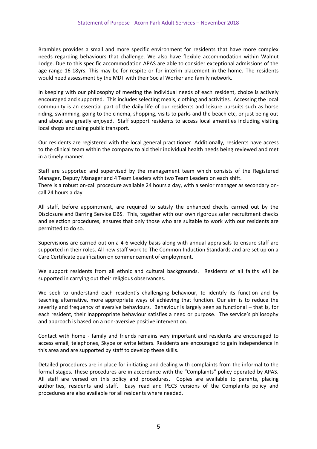Brambles provides a small and more specific environment for residents that have more complex needs regarding behaviours that challenge. We also have flexible accommodation within Walnut Lodge. Due to this specific accommodation APAS are able to consider exceptional admissions of the age range 16-18yrs. This may be for respite or for interim placement in the home. The residents would need assessment by the MDT with their Social Worker and family network.

In keeping with our philosophy of meeting the individual needs of each resident, choice is actively encouraged and supported. This includes selecting meals, clothing and activities. Accessing the local community is an essential part of the daily life of our residents and leisure pursuits such as horse riding, swimming, going to the cinema, shopping, visits to parks and the beach etc, or just being out and about are greatly enjoyed. Staff support residents to access local amenities including visiting local shops and using public transport.

Our residents are registered with the local general practitioner. Additionally, residents have access to the clinical team within the company to aid their individual health needs being reviewed and met in a timely manner.

Staff are supported and supervised by the management team which consists of the Registered Manager, Deputy Manager and 4 Team Leaders with two Team Leaders on each shift. There is a robust on-call procedure available 24 hours a day, with a senior manager as secondary oncall 24 hours a day.

All staff, before appointment, are required to satisfy the enhanced checks carried out by the Disclosure and Barring Service DBS. This, together with our own rigorous safer recruitment checks and selection procedures, ensures that only those who are suitable to work with our residents are permitted to do so.

Supervisions are carried out on a 4-6 weekly basis along with annual appraisals to ensure staff are supported in their roles. All new staff work to The Common Induction Standards and are set up on a Care Certificate qualification on commencement of employment.

We support residents from all ethnic and cultural backgrounds. Residents of all faiths will be supported in carrying out their religious observances.

We seek to understand each resident's challenging behaviour, to identify its function and by teaching alternative, more appropriate ways of achieving that function. Our aim is to reduce the severity and frequency of aversive behaviours. Behaviour is largely seen as functional – that is, for each resident, their inappropriate behaviour satisfies a need or purpose. The service's philosophy and approach is based on a non-aversive positive intervention.

Contact with home - family and friends remains very important and residents are encouraged to access email, telephones, Skype or write letters. Residents are encouraged to gain independence in this area and are supported by staff to develop these skills.

Detailed procedures are in place for initiating and dealing with complaints from the informal to the formal stages. These procedures are in accordance with the "Complaints" policy operated by APAS. All staff are versed on this policy and procedures. Copies are available to parents, placing authorities, residents and staff. Easy read and PECS versions of the Complaints policy and procedures are also available for all residents where needed.